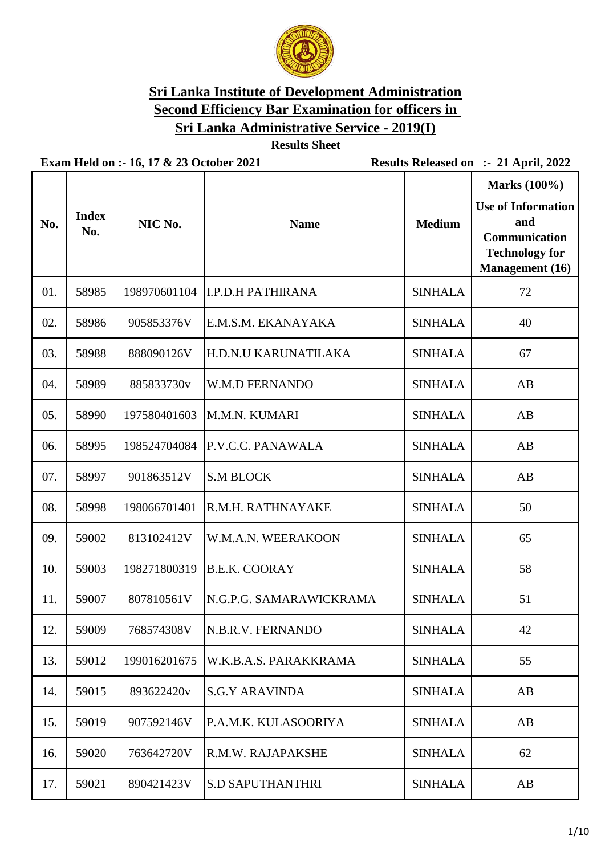

**Results Sheet**

| No. | <b>Index</b><br>No. | NIC No.      | <b>Name</b>                 | <b>Medium</b>  | <b>Marks</b> (100%)<br><b>Use of Information</b><br>and<br>Communication<br><b>Technology for</b><br><b>Management</b> (16) |
|-----|---------------------|--------------|-----------------------------|----------------|-----------------------------------------------------------------------------------------------------------------------------|
| 01. | 58985               | 198970601104 | <b>I.P.D.H PATHIRANA</b>    | <b>SINHALA</b> | 72                                                                                                                          |
| 02. | 58986               | 905853376V   | E.M.S.M. EKANAYAKA          | <b>SINHALA</b> | 40                                                                                                                          |
| 03. | 58988               | 888090126V   | <b>H.D.N.U KARUNATILAKA</b> | <b>SINHALA</b> | 67                                                                                                                          |
| 04. | 58989               | 885833730v   | <b>W.M.D FERNANDO</b>       | <b>SINHALA</b> | AB                                                                                                                          |
| 05. | 58990               | 197580401603 | M.M.N. KUMARI               | <b>SINHALA</b> | AB                                                                                                                          |
| 06. | 58995               | 198524704084 | P.V.C.C. PANAWALA           | <b>SINHALA</b> | AB                                                                                                                          |
| 07. | 58997               | 901863512V   | <b>S.M BLOCK</b>            | <b>SINHALA</b> | AB                                                                                                                          |
| 08. | 58998               | 198066701401 | R.M.H. RATHNAYAKE           | <b>SINHALA</b> | 50                                                                                                                          |
| 09. | 59002               | 813102412V   | W.M.A.N. WEERAKOON          | <b>SINHALA</b> | 65                                                                                                                          |
| 10. | 59003               | 198271800319 | <b>B.E.K. COORAY</b>        | <b>SINHALA</b> | 58                                                                                                                          |
| 11. | 59007               | 807810561V   | N.G.P.G. SAMARAWICKRAMA     | <b>SINHALA</b> | 51                                                                                                                          |
| 12. | 59009               | 768574308V   | N.B.R.V. FERNANDO           | <b>SINHALA</b> | 42                                                                                                                          |
| 13. | 59012               | 199016201675 | W.K.B.A.S. PARAKKRAMA       | <b>SINHALA</b> | 55                                                                                                                          |
| 14. | 59015               | 893622420v   | <b>S.G.Y ARAVINDA</b>       | <b>SINHALA</b> | AB                                                                                                                          |
| 15. | 59019               | 907592146V   | P.A.M.K. KULASOORIYA        | <b>SINHALA</b> | AB                                                                                                                          |
| 16. | 59020               | 763642720V   | R.M.W. RAJAPAKSHE           | <b>SINHALA</b> | 62                                                                                                                          |
| 17. | 59021               | 890421423V   | <b>S.D SAPUTHANTHRI</b>     | <b>SINHALA</b> | AB                                                                                                                          |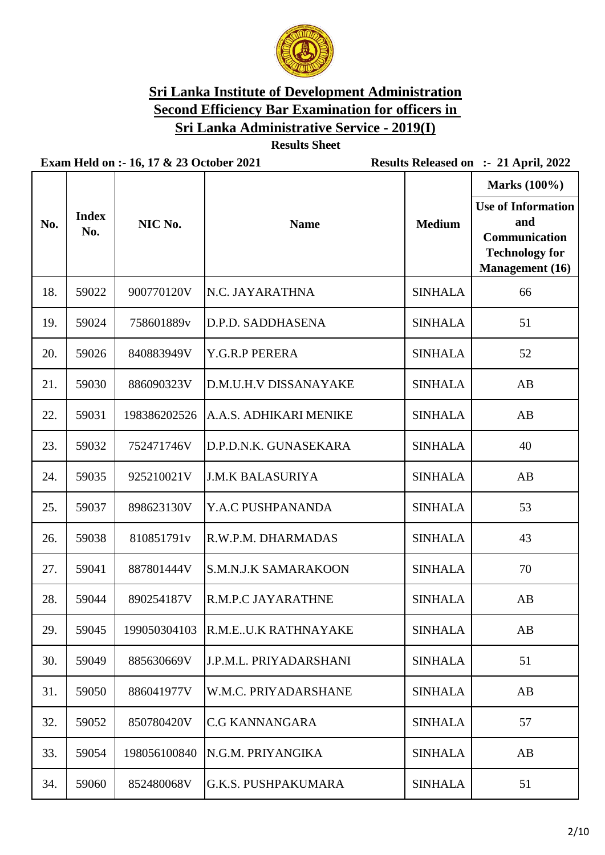

**Results Sheet**

| No. | <b>Index</b><br>No. | NIC No.      | <b>Name</b>                      | <b>Medium</b>  | <b>Marks</b> (100%)<br><b>Use of Information</b><br>and<br>Communication<br><b>Technology for</b><br><b>Management</b> (16) |
|-----|---------------------|--------------|----------------------------------|----------------|-----------------------------------------------------------------------------------------------------------------------------|
| 18. | 59022               | 900770120V   | N.C. JAYARATHNA                  | <b>SINHALA</b> | 66                                                                                                                          |
| 19. | 59024               | 758601889v   | D.P.D. SADDHASENA                | <b>SINHALA</b> | 51                                                                                                                          |
| 20. | 59026               | 840883949V   | Y.G.R.P PERERA                   | <b>SINHALA</b> | 52                                                                                                                          |
| 21. | 59030               | 886090323V   | D.M.U.H.V DISSANAYAKE            | <b>SINHALA</b> | AB                                                                                                                          |
| 22. | 59031               | 198386202526 | A.A.S. ADHIKARI MENIKE           | <b>SINHALA</b> | AB                                                                                                                          |
| 23. | 59032               | 752471746V   | D.P.D.N.K. GUNASEKARA            | <b>SINHALA</b> | 40                                                                                                                          |
| 24. | 59035               | 925210021V   | <b>J.M.K BALASURIYA</b>          | <b>SINHALA</b> | AB                                                                                                                          |
| 25. | 59037               | 898623130V   | Y.A.C PUSHPANANDA                | <b>SINHALA</b> | 53                                                                                                                          |
| 26. | 59038               | 810851791v   | R.W.P.M. DHARMADAS               | <b>SINHALA</b> | 43                                                                                                                          |
| 27. | 59041               | 887801444V   | <b>S.M.N.J.K SAMARAKOON</b>      | <b>SINHALA</b> | 70                                                                                                                          |
| 28. | 59044               | 890254187V   | R.M.P.C JAYARATHNE               | <b>SINHALA</b> | AB                                                                                                                          |
| 29. | 59045               |              | 199050304103 R.M.EU.K RATHNAYAKE | <b>SINHALA</b> | AB                                                                                                                          |
| 30. | 59049               | 885630669V   | J.P.M.L. PRIYADARSHANI           | <b>SINHALA</b> | 51                                                                                                                          |
| 31. | 59050               | 886041977V   | W.M.C. PRIYADARSHANE             | <b>SINHALA</b> | AB                                                                                                                          |
| 32. | 59052               | 850780420V   | <b>C.G KANNANGARA</b>            | <b>SINHALA</b> | 57                                                                                                                          |
| 33. | 59054               | 198056100840 | N.G.M. PRIYANGIKA                | <b>SINHALA</b> | AB                                                                                                                          |
| 34. | 59060               | 852480068V   | <b>G.K.S. PUSHPAKUMARA</b>       | <b>SINHALA</b> | 51                                                                                                                          |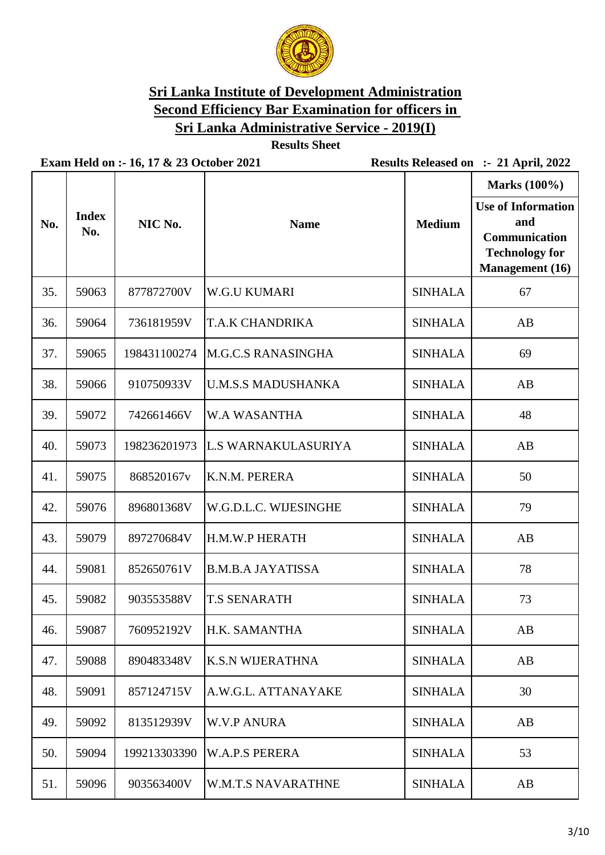

**Results Sheet**

|     |                     |              |                            |                | Marks (100%)<br><b>Use of Information</b>                               |
|-----|---------------------|--------------|----------------------------|----------------|-------------------------------------------------------------------------|
| No. | <b>Index</b><br>No. | NIC No.      | <b>Name</b>                | <b>Medium</b>  | and<br>Communication<br><b>Technology for</b><br><b>Management</b> (16) |
| 35. | 59063               | 877872700V   | <b>W.G.U KUMARI</b>        | <b>SINHALA</b> | 67                                                                      |
| 36. | 59064               | 736181959V   | T.A.K CHANDRIKA            | <b>SINHALA</b> | AB                                                                      |
| 37. | 59065               | 198431100274 | <b>M.G.C.S RANASINGHA</b>  | <b>SINHALA</b> | 69                                                                      |
| 38. | 59066               | 910750933V   | <b>U.M.S.S MADUSHANKA</b>  | <b>SINHALA</b> | AB                                                                      |
| 39. | 59072               | 742661466V   | <b>W.A WASANTHA</b>        | <b>SINHALA</b> | 48                                                                      |
| 40. | 59073               | 198236201973 | <b>L.S WARNAKULASURIYA</b> | <b>SINHALA</b> | AB                                                                      |
| 41. | 59075               | 868520167v   | K.N.M. PERERA              | <b>SINHALA</b> | 50                                                                      |
| 42. | 59076               | 896801368V   | W.G.D.L.C. WIJESINGHE      | <b>SINHALA</b> | 79                                                                      |
| 43. | 59079               | 897270684V   | H.M.W.P HERATH             | <b>SINHALA</b> | AB                                                                      |
| 44. | 59081               | 852650761V   | <b>B.M.B.A JAYATISSA</b>   | <b>SINHALA</b> | 78                                                                      |
| 45. | 59082               | 903553588V   | <b>T.S SENARATH</b>        | <b>SINHALA</b> | 73                                                                      |
| 46. | 59087               | 760952192V   | H.K. SAMANTHA              | <b>SINHALA</b> | AB                                                                      |
| 47. | 59088               | 890483348V   | <b>K.S.N WIJERATHNA</b>    | <b>SINHALA</b> | AB                                                                      |
| 48. | 59091               | 857124715V   | A.W.G.L. ATTANAYAKE        | <b>SINHALA</b> | 30                                                                      |
| 49. | 59092               | 813512939V   | <b>W.V.P ANURA</b>         | <b>SINHALA</b> | AB                                                                      |
| 50. | 59094               | 199213303390 | <b>W.A.P.S PERERA</b>      | <b>SINHALA</b> | 53                                                                      |
| 51. | 59096               | 903563400V   | W.M.T.S NAVARATHNE         | <b>SINHALA</b> | AB                                                                      |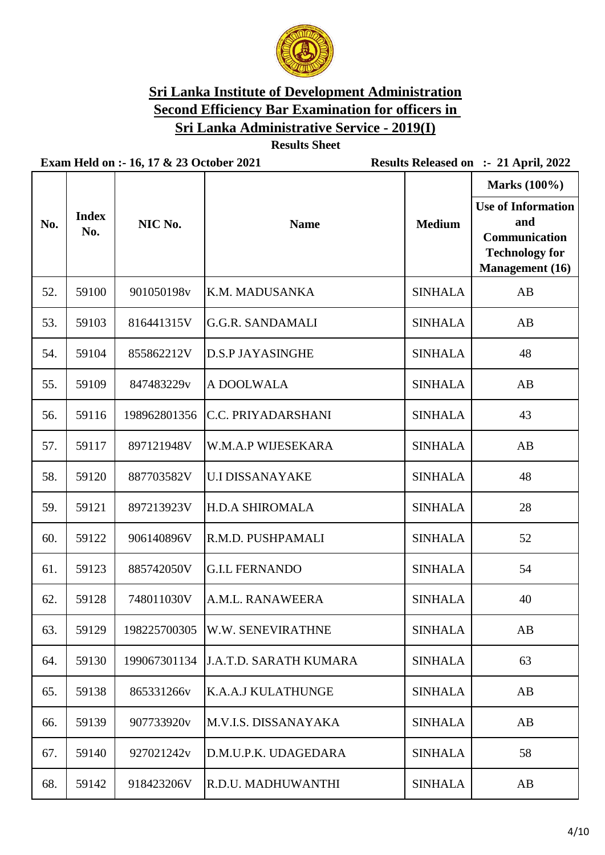

**Results Sheet**

|     |                     |              |                                 |                | Marks (100%)                                                                                         |
|-----|---------------------|--------------|---------------------------------|----------------|------------------------------------------------------------------------------------------------------|
| No. | <b>Index</b><br>No. | NIC No.      | <b>Name</b>                     | <b>Medium</b>  | <b>Use of Information</b><br>and<br>Communication<br><b>Technology for</b><br><b>Management</b> (16) |
| 52. | 59100               | 901050198v   | K.M. MADUSANKA                  | <b>SINHALA</b> | AB                                                                                                   |
| 53. | 59103               | 816441315V   | <b>G.G.R. SANDAMALI</b>         | <b>SINHALA</b> | AB                                                                                                   |
| 54. | 59104               | 855862212V   | <b>D.S.P JAYASINGHE</b>         | <b>SINHALA</b> | 48                                                                                                   |
| 55. | 59109               | 847483229v   | A DOOLWALA                      | <b>SINHALA</b> | AB                                                                                                   |
| 56. | 59116               | 198962801356 | <b>C.C. PRIYADARSHANI</b>       | <b>SINHALA</b> | 43                                                                                                   |
| 57. | 59117               | 897121948V   | W.M.A.P WIJESEKARA              | <b>SINHALA</b> | AB                                                                                                   |
| 58. | 59120               | 887703582V   | <b>U.I DISSANAYAKE</b>          | <b>SINHALA</b> | 48                                                                                                   |
| 59. | 59121               | 897213923V   | <b>H.D.A SHIROMALA</b>          | <b>SINHALA</b> | 28                                                                                                   |
| 60. | 59122               | 906140896V   | R.M.D. PUSHPAMALI               | <b>SINHALA</b> | 52                                                                                                   |
| 61. | 59123               | 885742050V   | <b>G.I.L FERNANDO</b>           | <b>SINHALA</b> | 54                                                                                                   |
| 62. | 59128               | 748011030V   | A.M.L. RANAWEERA                | <b>SINHALA</b> | 40                                                                                                   |
| 63. | 59129               |              | 198225700305  W.W. SENEVIRATHNE | <b>SINHALA</b> | AB                                                                                                   |
| 64. | 59130               | 199067301134 | <b>J.A.T.D. SARATH KUMARA</b>   | <b>SINHALA</b> | 63                                                                                                   |
| 65. | 59138               | 865331266v   | <b>K.A.A.J KULATHUNGE</b>       | <b>SINHALA</b> | AB                                                                                                   |
| 66. | 59139               | 907733920v   | M.V.I.S. DISSANAYAKA            | <b>SINHALA</b> | AB                                                                                                   |
| 67. | 59140               | 927021242v   | D.M.U.P.K. UDAGEDARA            | <b>SINHALA</b> | 58                                                                                                   |
| 68. | 59142               | 918423206V   | R.D.U. MADHUWANTHI              | <b>SINHALA</b> | AB                                                                                                   |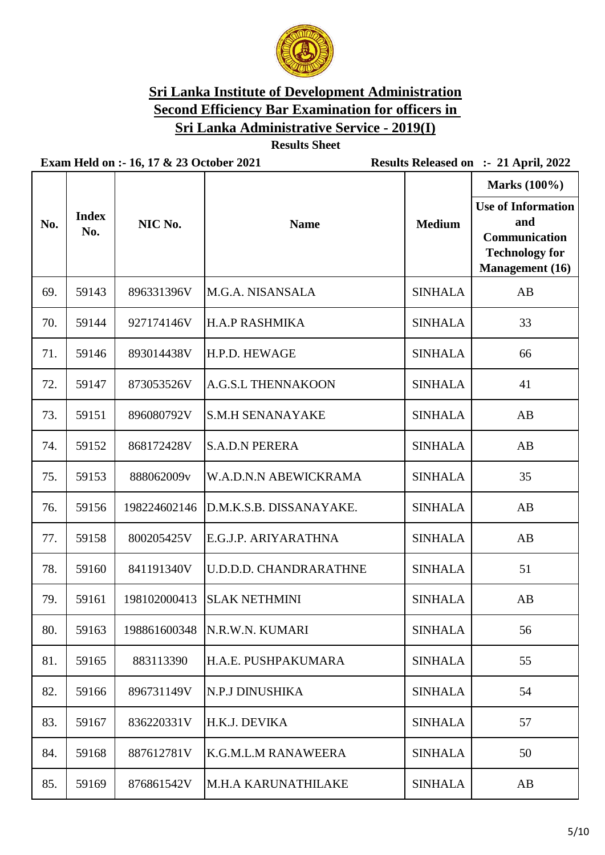

**Results Sheet**

|     |                     |              |                                |                | Marks (100%)                                                                                         |
|-----|---------------------|--------------|--------------------------------|----------------|------------------------------------------------------------------------------------------------------|
| No. | <b>Index</b><br>No. | NIC No.      | <b>Name</b>                    | <b>Medium</b>  | <b>Use of Information</b><br>and<br>Communication<br><b>Technology for</b><br><b>Management</b> (16) |
| 69. | 59143               | 896331396V   | M.G.A. NISANSALA               | <b>SINHALA</b> | AB                                                                                                   |
| 70. | 59144               | 927174146V   | <b>H.A.P RASHMIKA</b>          | <b>SINHALA</b> | 33                                                                                                   |
| 71. | 59146               | 893014438V   | H.P.D. HEWAGE                  | <b>SINHALA</b> | 66                                                                                                   |
| 72. | 59147               | 873053526V   | <b>A.G.S.L THENNAKOON</b>      | <b>SINHALA</b> | 41                                                                                                   |
| 73. | 59151               | 896080792V   | <b>S.M.H SENANAYAKE</b>        | <b>SINHALA</b> | AB                                                                                                   |
| 74. | 59152               | 868172428V   | <b>S.A.D.N PERERA</b>          | <b>SINHALA</b> | AB                                                                                                   |
| 75. | 59153               | 888062009v   | W.A.D.N.N ABEWICKRAMA          | <b>SINHALA</b> | 35                                                                                                   |
| 76. | 59156               | 198224602146 | D.M.K.S.B. DISSANAYAKE.        | <b>SINHALA</b> | AB                                                                                                   |
| 77. | 59158               | 800205425V   | E.G.J.P. ARIYARATHNA           | <b>SINHALA</b> | AB                                                                                                   |
| 78. | 59160               | 841191340V   | <b>U.D.D.D. CHANDRARATHNE</b>  | <b>SINHALA</b> | 51                                                                                                   |
| 79. | 59161               | 198102000413 | <b>SLAK NETHMINI</b>           | <b>SINHALA</b> | AB                                                                                                   |
| 80. | 59163               |              | 198861600348   N.R.W.N. KUMARI | <b>SINHALA</b> | 56                                                                                                   |
| 81. | 59165               | 883113390    | H.A.E. PUSHPAKUMARA            | <b>SINHALA</b> | 55                                                                                                   |
| 82. | 59166               | 896731149V   | N.P.J DINUSHIKA                | <b>SINHALA</b> | 54                                                                                                   |
| 83. | 59167               | 836220331V   | H.K.J. DEVIKA                  | <b>SINHALA</b> | 57                                                                                                   |
| 84. | 59168               | 887612781V   | <b>K.G.M.L.M RANAWEERA</b>     | <b>SINHALA</b> | 50                                                                                                   |
| 85. | 59169               | 876861542V   | <b>M.H.A KARUNATHILAKE</b>     | <b>SINHALA</b> | AB                                                                                                   |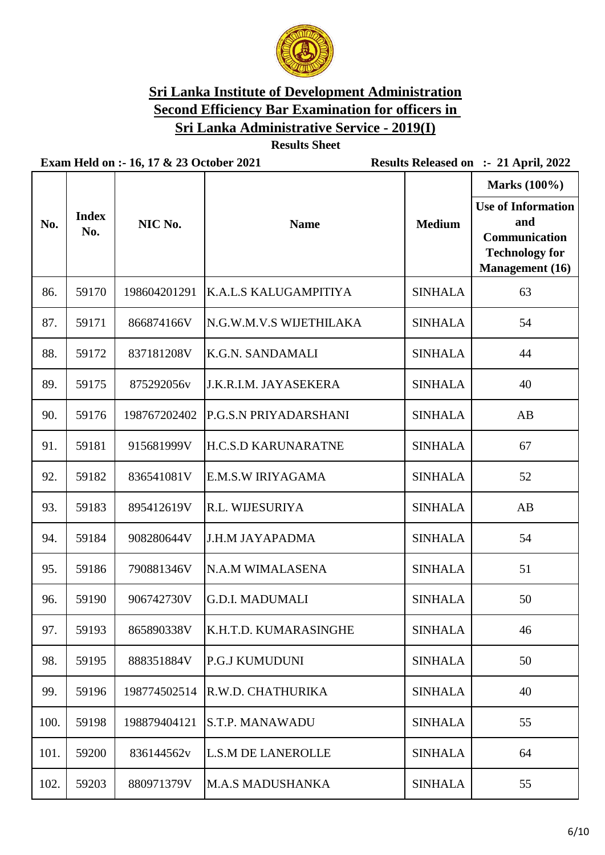

**Results Sheet**

|      |                     |              |                            |                | Marks (100%)                                                                                         |
|------|---------------------|--------------|----------------------------|----------------|------------------------------------------------------------------------------------------------------|
| No.  | <b>Index</b><br>No. | NIC No.      | <b>Name</b>                | <b>Medium</b>  | <b>Use of Information</b><br>and<br>Communication<br><b>Technology for</b><br><b>Management</b> (16) |
| 86.  | 59170               | 198604201291 | K.A.L.S KALUGAMPITIYA      | <b>SINHALA</b> | 63                                                                                                   |
| 87.  | 59171               | 866874166V   | N.G.W.M.V.S WIJETHILAKA    | <b>SINHALA</b> | 54                                                                                                   |
| 88.  | 59172               | 837181208V   | <b>K.G.N. SANDAMALI</b>    | <b>SINHALA</b> | 44                                                                                                   |
| 89.  | 59175               | 875292056v   | J.K.R.I.M. JAYASEKERA      | <b>SINHALA</b> | 40                                                                                                   |
| 90.  | 59176               | 198767202402 | P.G.S.N PRIYADARSHANI      | <b>SINHALA</b> | AB                                                                                                   |
| 91.  | 59181               | 915681999V   | <b>H.C.S.D KARUNARATNE</b> | <b>SINHALA</b> | 67                                                                                                   |
| 92.  | 59182               | 836541081V   | E.M.S.W IRIYAGAMA          | <b>SINHALA</b> | 52                                                                                                   |
| 93.  | 59183               | 895412619V   | R.L. WIJESURIYA            | <b>SINHALA</b> | AB                                                                                                   |
| 94.  | 59184               | 908280644V   | <b>J.H.M JAYAPADMA</b>     | <b>SINHALA</b> | 54                                                                                                   |
| 95.  | 59186               | 790881346V   | N.A.M WIMALASENA           | <b>SINHALA</b> | 51                                                                                                   |
| 96.  | 59190               | 906742730V   | <b>G.D.I. MADUMALI</b>     | <b>SINHALA</b> | 50                                                                                                   |
| 97.  | 59193               | 865890338V   | K.H.T.D. KUMARASINGHE      | <b>SINHALA</b> | 46                                                                                                   |
| 98.  | 59195               | 888351884V   | <b>P.G.J KUMUDUNI</b>      | <b>SINHALA</b> | 50                                                                                                   |
| 99.  | 59196               | 198774502514 | R.W.D. CHATHURIKA          | <b>SINHALA</b> | 40                                                                                                   |
| 100. | 59198               | 198879404121 | <b>S.T.P. MANAWADU</b>     | <b>SINHALA</b> | 55                                                                                                   |
| 101. | 59200               | 836144562v   | <b>L.S.M DE LANEROLLE</b>  | <b>SINHALA</b> | 64                                                                                                   |
| 102. | 59203               | 880971379V   | <b>M.A.S MADUSHANKA</b>    | <b>SINHALA</b> | 55                                                                                                   |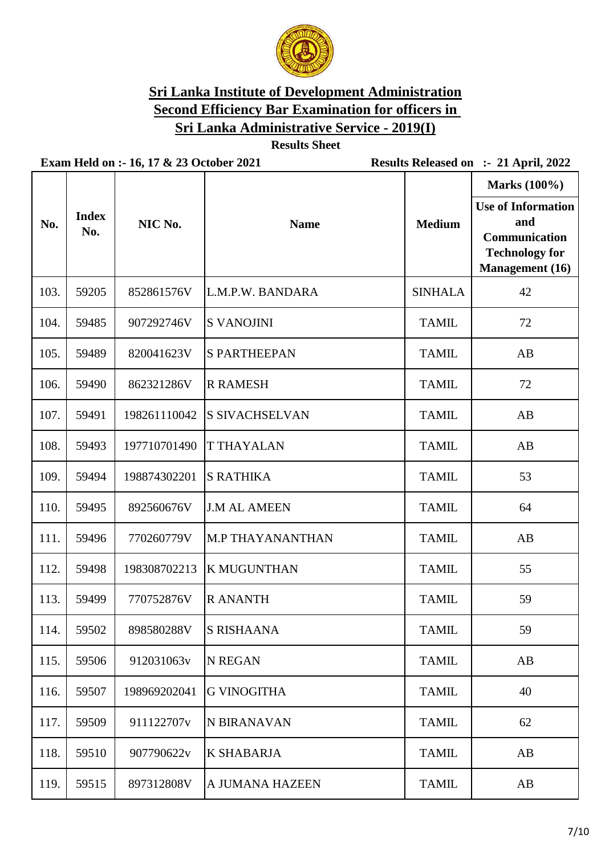

**Results Sheet**

|      |                     |              |                         |                | <b>Marks</b> (100%)                                                                                  |
|------|---------------------|--------------|-------------------------|----------------|------------------------------------------------------------------------------------------------------|
| No.  | <b>Index</b><br>No. | NIC No.      | <b>Name</b>             | <b>Medium</b>  | <b>Use of Information</b><br>and<br>Communication<br><b>Technology for</b><br><b>Management</b> (16) |
| 103. | 59205               | 852861576V   | L.M.P.W. BANDARA        | <b>SINHALA</b> | 42                                                                                                   |
| 104. | 59485               | 907292746V   | <b>S VANOJINI</b>       | <b>TAMIL</b>   | 72                                                                                                   |
| 105. | 59489               | 820041623V   | <b>S PARTHEEPAN</b>     | <b>TAMIL</b>   | AB                                                                                                   |
| 106. | 59490               | 862321286V   | <b>R RAMESH</b>         | <b>TAMIL</b>   | 72                                                                                                   |
| 107. | 59491               | 198261110042 | <b>S SIVACHSELVAN</b>   | <b>TAMIL</b>   | AB                                                                                                   |
| 108. | 59493               | 197710701490 | <b>T THAYALAN</b>       | <b>TAMIL</b>   | AB                                                                                                   |
| 109. | 59494               | 198874302201 | <b>S RATHIKA</b>        | <b>TAMIL</b>   | 53                                                                                                   |
| 110. | 59495               | 892560676V   | <b>J.M AL AMEEN</b>     | <b>TAMIL</b>   | 64                                                                                                   |
| 111. | 59496               | 770260779V   | <b>M.P THAYANANTHAN</b> | <b>TAMIL</b>   | AB                                                                                                   |
| 112. | 59498               | 198308702213 | <b>K MUGUNTHAN</b>      | <b>TAMIL</b>   | 55                                                                                                   |
| 113. | 59499               | 770752876V   | <b>R ANANTH</b>         | <b>TAMIL</b>   | 59                                                                                                   |
| 114. | 59502               | 898580288V   | <b>S RISHAANA</b>       | <b>TAMIL</b>   | 59                                                                                                   |
| 115. | 59506               | 912031063v   | <b>N REGAN</b>          | <b>TAMIL</b>   | AB                                                                                                   |
| 116. | 59507               | 198969202041 | <b>G VINOGITHA</b>      | <b>TAMIL</b>   | 40                                                                                                   |
| 117. | 59509               | 911122707v   | N BIRANAVAN             | <b>TAMIL</b>   | 62                                                                                                   |
| 118. | 59510               | 907790622v   | <b>K SHABARJA</b>       | <b>TAMIL</b>   | AB                                                                                                   |
| 119. | 59515               | 897312808V   | A JUMANA HAZEEN         | <b>TAMIL</b>   | AB                                                                                                   |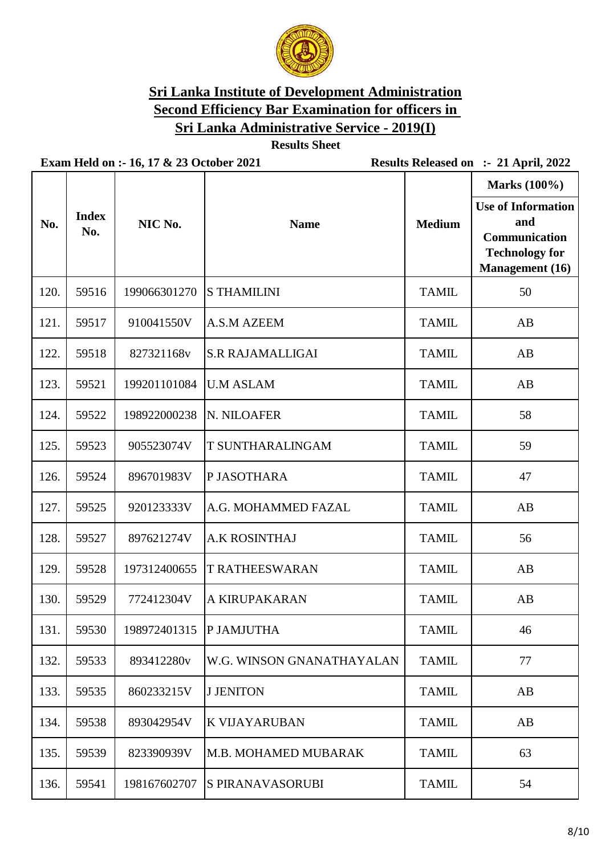

**Results Sheet**

| No.  | <b>Index</b><br>No. | NIC No.                  | <b>Name</b>               | <b>Medium</b> | Marks (100%)<br><b>Use of Information</b><br>and<br><b>Communication</b><br><b>Technology for</b> |
|------|---------------------|--------------------------|---------------------------|---------------|---------------------------------------------------------------------------------------------------|
|      |                     |                          |                           |               | <b>Management</b> (16)                                                                            |
| 120. | 59516               | 199066301270             | <b>S THAMILINI</b>        | <b>TAMIL</b>  | 50                                                                                                |
| 121. | 59517               | 910041550V               | A.S.M AZEEM               | <b>TAMIL</b>  | AB                                                                                                |
| 122. | 59518               | 827321168v               | <b>S.R RAJAMALLIGAI</b>   | <b>TAMIL</b>  | AB                                                                                                |
| 123. | 59521               | 199201101084             | <b>U.M ASLAM</b>          | <b>TAMIL</b>  | AB                                                                                                |
| 124. | 59522               | 198922000238             | N. NILOAFER               | <b>TAMIL</b>  | 58                                                                                                |
| 125. | 59523               | 905523074V               | T SUNTHARALINGAM          | <b>TAMIL</b>  | 59                                                                                                |
| 126. | 59524               | 896701983V               | P JASOTHARA               | <b>TAMIL</b>  | 47                                                                                                |
| 127. | 59525               | 920123333V               | A.G. MOHAMMED FAZAL       | <b>TAMIL</b>  | AB                                                                                                |
| 128. | 59527               | 897621274V               | <b>A.K ROSINTHAJ</b>      | <b>TAMIL</b>  | 56                                                                                                |
| 129. | 59528               | 197312400655             | <b>T RATHEESWARAN</b>     | <b>TAMIL</b>  | AB                                                                                                |
| 130. | 59529               | 772412304V               | A KIRUPAKARAN             | <b>TAMIL</b>  | AB                                                                                                |
| 131. | 59530               | 198972401315  P JAMJUTHA |                           | <b>TAMIL</b>  | 46                                                                                                |
| 132. | 59533               | 893412280v               | W.G. WINSON GNANATHAYALAN | <b>TAMIL</b>  | 77                                                                                                |
| 133. | 59535               | 860233215V               | <b>J JENITON</b>          | <b>TAMIL</b>  | AB                                                                                                |
| 134. | 59538               | 893042954V               | <b>K VIJAYARUBAN</b>      | <b>TAMIL</b>  | AB                                                                                                |
| 135. | 59539               | 823390939V               | M.B. MOHAMED MUBARAK      | <b>TAMIL</b>  | 63                                                                                                |
| 136. | 59541               | 198167602707             | <b>S PIRANAVASORUBI</b>   | <b>TAMIL</b>  | 54                                                                                                |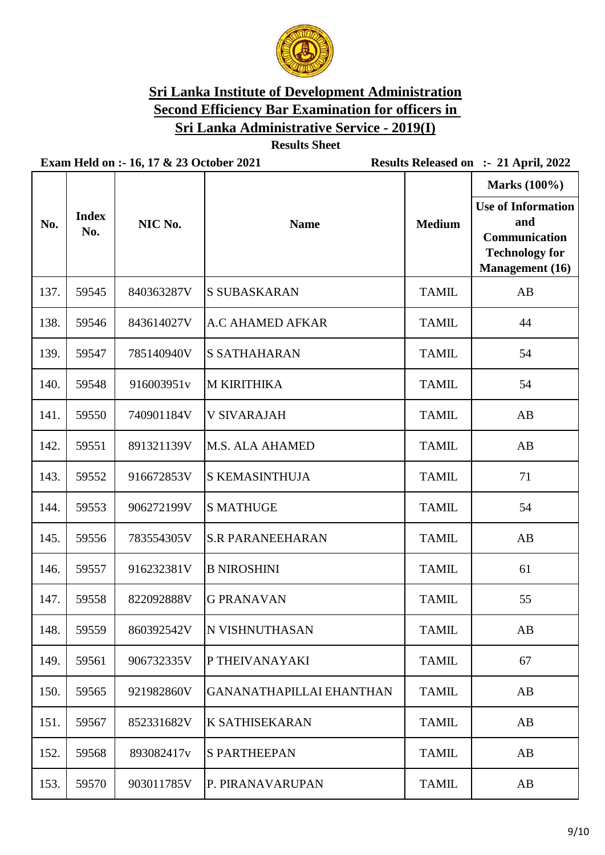

**Results Sheet**

|      |                     |            |                                 |               | Marks (100%)                                                                                                |
|------|---------------------|------------|---------------------------------|---------------|-------------------------------------------------------------------------------------------------------------|
| No.  | <b>Index</b><br>No. | NIC No.    | <b>Name</b>                     | <b>Medium</b> | <b>Use of Information</b><br>and<br><b>Communication</b><br><b>Technology for</b><br><b>Management</b> (16) |
| 137. | 59545               | 840363287V | <b>S SUBASKARAN</b>             | <b>TAMIL</b>  | AB                                                                                                          |
| 138. | 59546               | 843614027V | <b>A.C AHAMED AFKAR</b>         | <b>TAMIL</b>  | 44                                                                                                          |
| 139. | 59547               | 785140940V | <b>S SATHAHARAN</b>             | <b>TAMIL</b>  | 54                                                                                                          |
| 140. | 59548               | 916003951v | <b>M KIRITHIKA</b>              | <b>TAMIL</b>  | 54                                                                                                          |
| 141. | 59550               | 740901184V | <b>V SIVARAJAH</b>              | <b>TAMIL</b>  | AB                                                                                                          |
| 142. | 59551               | 891321139V | <b>M.S. ALA AHAMED</b>          | <b>TAMIL</b>  | AB                                                                                                          |
| 143. | 59552               | 916672853V | <b>S KEMASINTHUJA</b>           | <b>TAMIL</b>  | 71                                                                                                          |
| 144. | 59553               | 906272199V | <b>S MATHUGE</b>                | <b>TAMIL</b>  | 54                                                                                                          |
| 145. | 59556               | 783554305V | <b>S.R PARANEEHARAN</b>         | <b>TAMIL</b>  | AB                                                                                                          |
| 146. | 59557               | 916232381V | <b>B NIROSHINI</b>              | <b>TAMIL</b>  | 61                                                                                                          |
| 147. | 59558               | 822092888V | <b>G PRANAVAN</b>               | <b>TAMIL</b>  | 55                                                                                                          |
| 148. | 59559               | 860392542V | <b>N VISHNUTHASAN</b>           | <b>TAMIL</b>  | AB                                                                                                          |
| 149. | 59561               | 906732335V | P THEIVANAYAKI                  | <b>TAMIL</b>  | 67                                                                                                          |
| 150. | 59565               | 921982860V | <b>GANANATHAPILLAI EHANTHAN</b> | <b>TAMIL</b>  | AB                                                                                                          |
| 151. | 59567               | 852331682V | <b>K SATHISEKARAN</b>           | <b>TAMIL</b>  | AB                                                                                                          |
| 152. | 59568               | 893082417v | <b>S PARTHEEPAN</b>             | <b>TAMIL</b>  | AB                                                                                                          |
| 153. | 59570               | 903011785V | P. PIRANAVARUPAN                | <b>TAMIL</b>  | AB                                                                                                          |